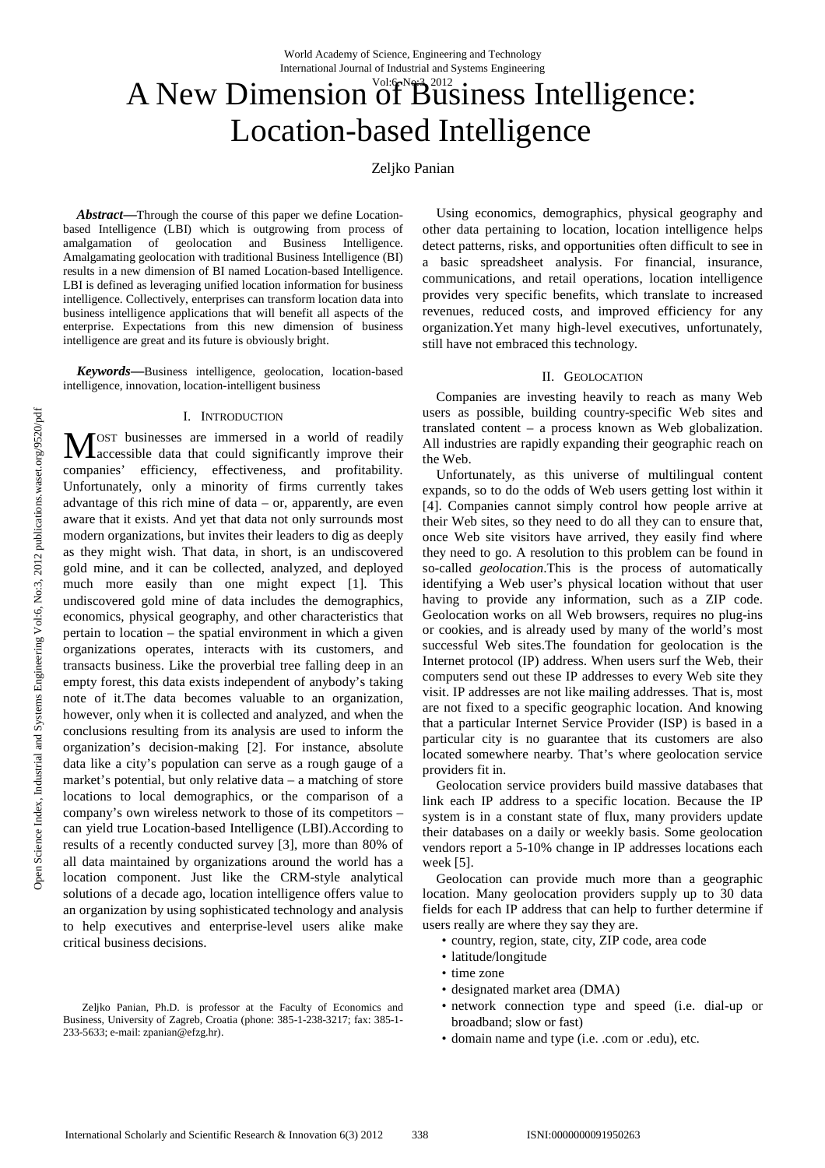# A New Dimension of Business Intelligence: Location-based Intelligence

# Zeljko Panian

*Abstract***—**Through the course of this paper we define Locationbased Intelligence (LBI) which is outgrowing from process of amalgamation of geolocation and Business Intelligence. Amalgamating geolocation with traditional Business Intelligence (BI) results in a new dimension of BI named Location-based Intelligence. LBI is defined as leveraging unified location information for business intelligence. Collectively, enterprises can transform location data into business intelligence applications that will benefit all aspects of the enterprise. Expectations from this new dimension of business intelligence are great and its future is obviously bright.

*Keywords***—**Business intelligence, geolocation, location-based intelligence, innovation, location-intelligent business

#### I. INTRODUCTION

OST businesses are immersed in a world of readily MOST businesses are immersed in a world of readily accessible data that could significantly improve their companies' efficiency, effectiveness, and profitability. Unfortunately, only a minority of firms currently takes advantage of this rich mine of data – or, apparently, are even aware that it exists. And yet that data not only surrounds most modern organizations, but invites their leaders to dig as deeply as they might wish. That data, in short, is an undiscovered gold mine, and it can be collected, analyzed, and deployed much more easily than one might expect [1]. This undiscovered gold mine of data includes the demographics, economics, physical geography, and other characteristics that pertain to location – the spatial environment in which a given organizations operates, interacts with its customers, and transacts business. Like the proverbial tree falling deep in an empty forest, this data exists independent of anybody's taking note of it.The data becomes valuable to an organization, however, only when it is collected and analyzed, and when the conclusions resulting from its analysis are used to inform the organization's decision-making [2]. For instance, absolute data like a city's population can serve as a rough gauge of a market's potential, but only relative data – a matching of store locations to local demographics, or the comparison of a company's own wireless network to those of its competitors – can yield true Location-based Intelligence (LBI).According to results of a recently conducted survey [3], more than 80% of all data maintained by organizations around the world has a location component. Just like the CRM-style analytical solutions of a decade ago, location intelligence offers value to an organization by using sophisticated technology and analysis to help executives and enterprise-level users alike make critical business decisions.

Zeljko Panian, Ph.D. is professor at the Faculty of Economics and Business, University of Zagreb, Croatia (phone: 385-1-238-3217; fax: 385-1- 233-5633; e-mail: zpanian@efzg.hr).

Using economics, demographics, physical geography and other data pertaining to location, location intelligence helps detect patterns, risks, and opportunities often difficult to see in a basic spreadsheet analysis. For financial, insurance, communications, and retail operations, location intelligence provides very specific benefits, which translate to increased revenues, reduced costs, and improved efficiency for any organization.Yet many high-level executives, unfortunately, still have not embraced this technology.

#### II. GEOLOCATION

Companies are investing heavily to reach as many Web users as possible, building country-specific Web sites and translated content – a process known as Web globalization. All industries are rapidly expanding their geographic reach on the Web.

Unfortunately, as this universe of multilingual content expands, so to do the odds of Web users getting lost within it [4]. Companies cannot simply control how people arrive at their Web sites, so they need to do all they can to ensure that, once Web site visitors have arrived, they easily find where they need to go. A resolution to this problem can be found in so-called *geolocation*.This is the process of automatically identifying a Web user's physical location without that user having to provide any information, such as a ZIP code. Geolocation works on all Web browsers, requires no plug-ins or cookies, and is already used by many of the world's most successful Web sites.The foundation for geolocation is the Internet protocol (IP) address. When users surf the Web, their computers send out these IP addresses to every Web site they visit. IP addresses are not like mailing addresses. That is, most are not fixed to a specific geographic location. And knowing that a particular Internet Service Provider (ISP) is based in a particular city is no guarantee that its customers are also located somewhere nearby. That's where geolocation service providers fit in.

Geolocation service providers build massive databases that link each IP address to a specific location. Because the IP system is in a constant state of flux, many providers update their databases on a daily or weekly basis. Some geolocation vendors report a 5-10% change in IP addresses locations each week [5].

Geolocation can provide much more than a geographic location. Many geolocation providers supply up to 30 data fields for each IP address that can help to further determine if users really are where they say they are.

- country, region, state, city, ZIP code, area code
- latitude/longitude
- time zone
- designated market area (DMA)
- network connection type and speed (i.e. dial-up or broadband; slow or fast)
- domain name and type (i.e. .com or .edu), etc.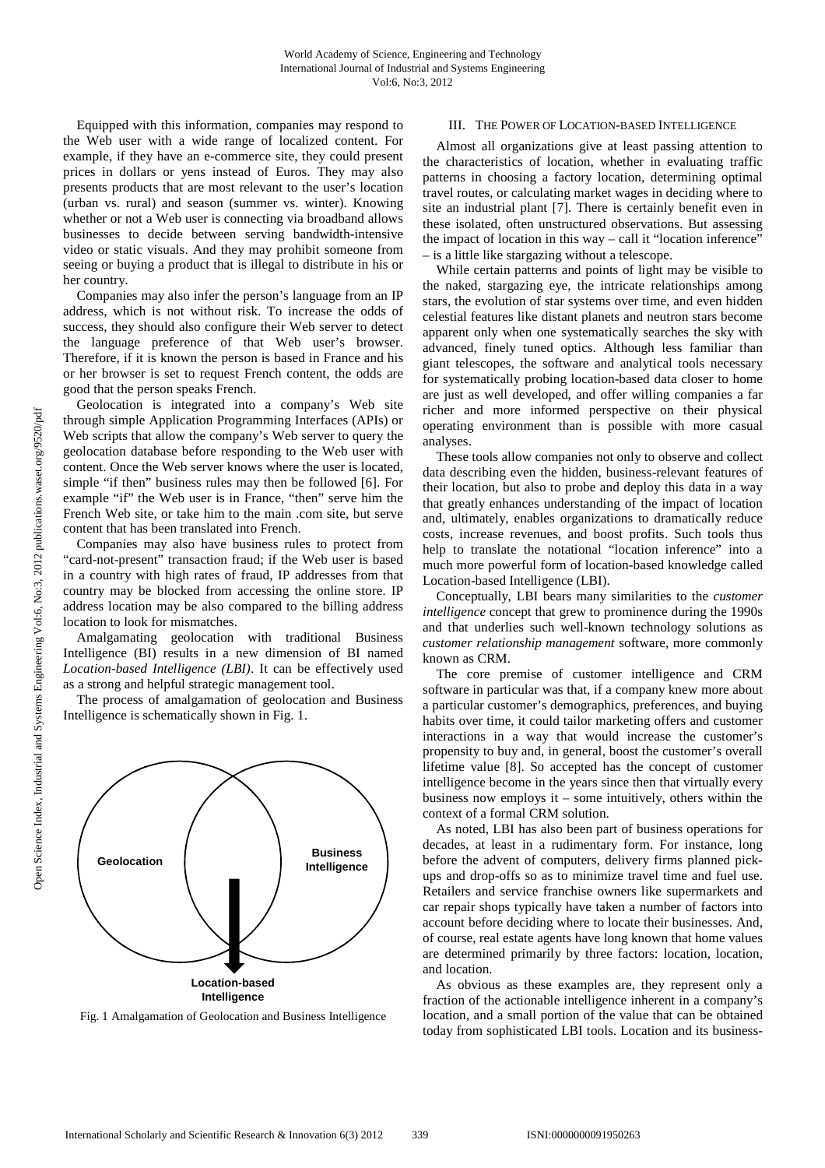Equipped with this information, companies may respond to the Web user with a wide range of localized content. For example, if they have an e-commerce site, they could present prices in dollars or yens instead of Euros. They may also presents products that are most relevant to the user's location (urban vs. rural) and season (summer vs. winter). Knowing whether or not a Web user is connecting via broadband allows businesses to decide between serving bandwidth-intensive video or static visuals. And they may prohibit someone from seeing or buying a product that is illegal to distribute in his or her country.

Companies may also infer the person's language from an IP address, which is not without risk. To increase the odds of success, they should also configure their Web server to detect the language preference of that Web user's browser. Therefore, if it is known the person is based in France and his or her browser is set to request French content, the odds are good that the person speaks French.

Geolocation is integrated into a company's Web site through simple Application Programming Interfaces (APIs) or Web scripts that allow the company's Web server to query the geolocation database before responding to the Web user with content. Once the Web server knows where the user is located, simple "if then" business rules may then be followed [6]. For example "if" the Web user is in France, "then" serve him the French Web site, or take him to the main .com site, but serve content that has been translated into French.

Companies may also have business rules to protect from "card-not-present" transaction fraud; if the Web user is based in a country with high rates of fraud, IP addresses from that country may be blocked from accessing the online store. IP address location may be also compared to the billing address location to look for mismatches.

Amalgamating geolocation with traditional Business Intelligence (BI) results in a new dimension of BI named *Location-based Intelligence (LBI)*. It can be effectively used as a strong and helpful strategic management tool.

The process of amalgamation of geolocation and Business Intelligence is schematically shown in Fig. 1.



Fig. 1 Amalgamation of Geolocation and Business Intelligence

## III. THE POWER OF LOCATION-BASED INTELLIGENCE

Almost all organizations give at least passing attention to the characteristics of location, whether in evaluating traffic patterns in choosing a factory location, determining optimal travel routes, or calculating market wages in deciding where to site an industrial plant [7]. There is certainly benefit even in these isolated, often unstructured observations. But assessing the impact of location in this way – call it "location inference" – is a little like stargazing without a telescope.

While certain patterns and points of light may be visible to the naked, stargazing eye, the intricate relationships among stars, the evolution of star systems over time, and even hidden celestial features like distant planets and neutron stars become apparent only when one systematically searches the sky with advanced, finely tuned optics. Although less familiar than giant telescopes, the software and analytical tools necessary for systematically probing location-based data closer to home are just as well developed, and offer willing companies a far richer and more informed perspective on their physical operating environment than is possible with more casual analyses.

These tools allow companies not only to observe and collect data describing even the hidden, business-relevant features of their location, but also to probe and deploy this data in a way that greatly enhances understanding of the impact of location and, ultimately, enables organizations to dramatically reduce costs, increase revenues, and boost profits. Such tools thus help to translate the notational "location inference" into a much more powerful form of location-based knowledge called Location-based Intelligence (LBI).

Conceptually, LBI bears many similarities to the *customer intelligence* concept that grew to prominence during the 1990s and that underlies such well-known technology solutions as *customer relationship management* software, more commonly known as CRM.

The core premise of customer intelligence and CRM software in particular was that, if a company knew more about a particular customer's demographics, preferences, and buying habits over time, it could tailor marketing offers and customer interactions in a way that would increase the customer's propensity to buy and, in general, boost the customer's overall lifetime value [8]. So accepted has the concept of customer intelligence become in the years since then that virtually every business now employs it – some intuitively, others within the context of a formal CRM solution.

As noted, LBI has also been part of business operations for decades, at least in a rudimentary form. For instance, long before the advent of computers, delivery firms planned pickups and drop-offs so as to minimize travel time and fuel use. Retailers and service franchise owners like supermarkets and car repair shops typically have taken a number of factors into account before deciding where to locate their businesses. And, of course, real estate agents have long known that home values are determined primarily by three factors: location, location, and location.

As obvious as these examples are, they represent only a fraction of the actionable intelligence inherent in a company's location, and a small portion of the value that can be obtained today from sophisticated LBI tools. Location and its business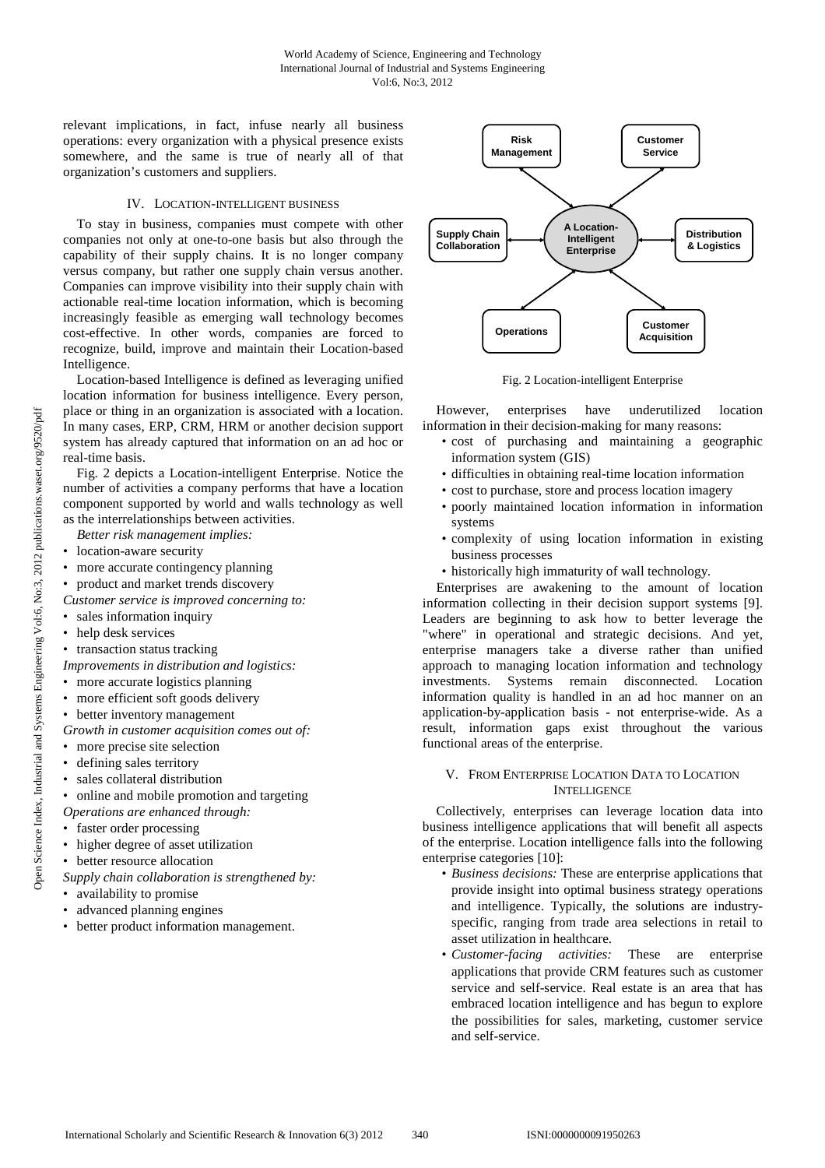relevant implications, in fact, infuse nearly all business operations: every organization with a physical presence exists somewhere, and the same is true of nearly all of that organization's customers and suppliers.

## IV. LOCATION-INTELLIGENT BUSINESS

To stay in business, companies must compete with other companies not only at one-to-one basis but also through the capability of their supply chains. It is no longer company versus company, but rather one supply chain versus another. Companies can improve visibility into their supply chain with actionable real-time location information, which is becoming increasingly feasible as emerging wall technology becomes cost-effective. In other words, companies are forced to recognize, build, improve and maintain their Location-based Intelligence.

Location-based Intelligence is defined as leveraging unified location information for business intelligence. Every person, place or thing in an organization is associated with a location. In many cases, ERP, CRM, HRM or another decision support system has already captured that information on an ad hoc or real-time basis.

Fig. 2 depicts a Location-intelligent Enterprise. Notice the number of activities a company performs that have a location component supported by world and walls technology as well as the interrelationships between activities.

- *Better risk management implies:*
- location-aware security
- more accurate contingency planning
- product and market trends discovery
- *Customer service is improved concerning to:*
- sales information inquiry
- help desk services
- transaction status tracking

*Improvements in distribution and logistics:* 

- more accurate logistics planning
- more efficient soft goods delivery
- better inventory management
- *Growth in customer acquisition comes out of:*
- more precise site selection
- defining sales territory
- sales collateral distribution

• online and mobile promotion and targeting

- *Operations are enhanced through:*
- faster order processing
- higher degree of asset utilization
- better resource allocation
- *Supply chain collaboration is strengthened by:*
- availability to promise
- advanced planning engines
- better product information management.



Fig. 2 Location-intelligent Enterprise

However, enterprises have underutilized location information in their decision-making for many reasons:

- cost of purchasing and maintaining a geographic information system (GIS)
- difficulties in obtaining real-time location information
- cost to purchase, store and process location imagery
- poorly maintained location information in information systems
- complexity of using location information in existing business processes
- historically high immaturity of wall technology.

Enterprises are awakening to the amount of location information collecting in their decision support systems [9]. Leaders are beginning to ask how to better leverage the "where" in operational and strategic decisions. And yet, enterprise managers take a diverse rather than unified approach to managing location information and technology investments. Systems remain disconnected. Location information quality is handled in an ad hoc manner on an application-by-application basis - not enterprise-wide. As a result, information gaps exist throughout the various functional areas of the enterprise.

#### V. FROM ENTERPRISE LOCATION DATA TO LOCATION **INTELLIGENCE**

Collectively, enterprises can leverage location data into business intelligence applications that will benefit all aspects of the enterprise. Location intelligence falls into the following enterprise categories [10]:

- *Business decisions:* These are enterprise applications that provide insight into optimal business strategy operations and intelligence. Typically, the solutions are industryspecific, ranging from trade area selections in retail to asset utilization in healthcare.
- *Customer-facing activities:* These are enterprise applications that provide CRM features such as customer service and self-service. Real estate is an area that has embraced location intelligence and has begun to explore the possibilities for sales, marketing, customer service and self-service.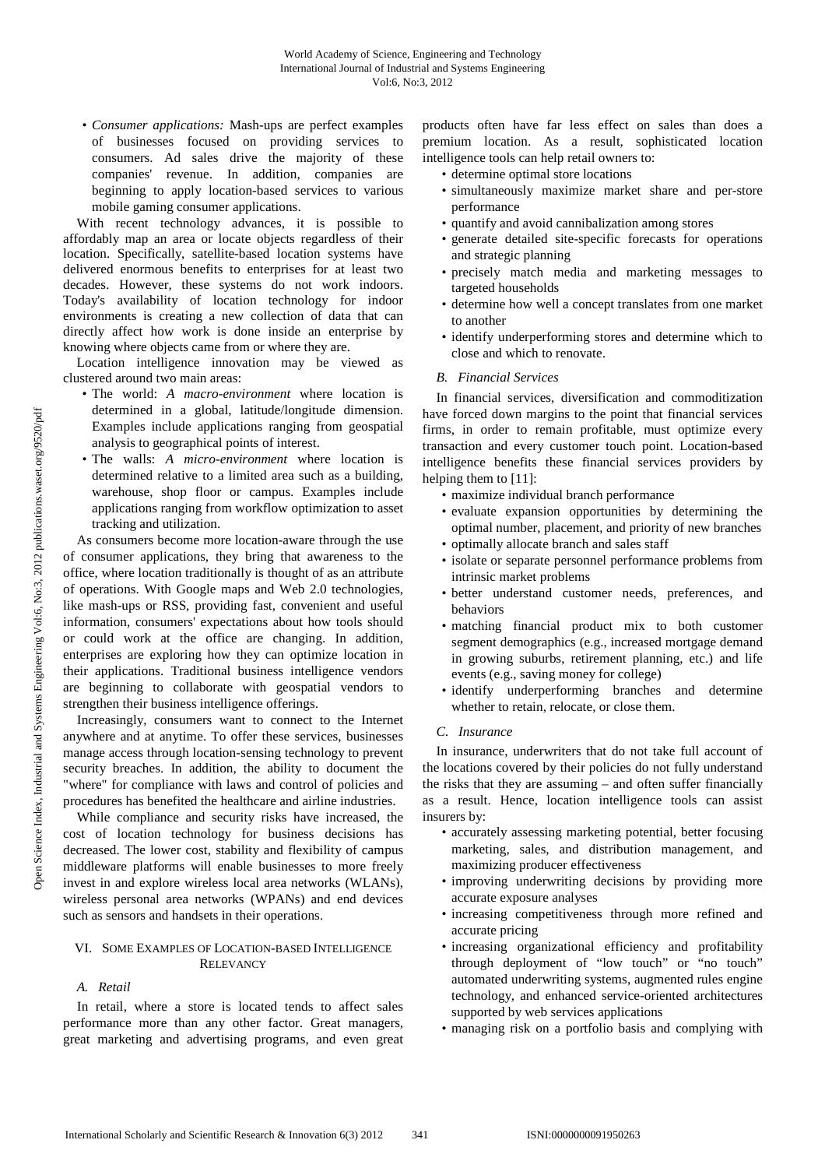• *Consumer applications:* Mash-ups are perfect examples of businesses focused on providing services to consumers. Ad sales drive the majority of these companies' revenue. In addition, companies are beginning to apply location-based services to various mobile gaming consumer applications.

With recent technology advances, it is possible to affordably map an area or locate objects regardless of their location. Specifically, satellite-based location systems have delivered enormous benefits to enterprises for at least two decades. However, these systems do not work indoors. Today's availability of location technology for indoor environments is creating a new collection of data that can directly affect how work is done inside an enterprise by knowing where objects came from or where they are.

Location intelligence innovation may be viewed as clustered around two main areas:

- The world: *A macro-environment* where location is determined in a global, latitude/longitude dimension. Examples include applications ranging from geospatial analysis to geographical points of interest.
- The walls: *A micro-environment* where location is determined relative to a limited area such as a building, warehouse, shop floor or campus. Examples include applications ranging from workflow optimization to asset tracking and utilization.

As consumers become more location-aware through the use of consumer applications, they bring that awareness to the office, where location traditionally is thought of as an attribute of operations. With Google maps and Web 2.0 technologies, like mash-ups or RSS, providing fast, convenient and useful information, consumers' expectations about how tools should or could work at the office are changing. In addition, enterprises are exploring how they can optimize location in their applications. Traditional business intelligence vendors are beginning to collaborate with geospatial vendors to strengthen their business intelligence offerings.

Increasingly, consumers want to connect to the Internet anywhere and at anytime. To offer these services, businesses manage access through location-sensing technology to prevent security breaches. In addition, the ability to document the "where" for compliance with laws and control of policies and procedures has benefited the healthcare and airline industries.

While compliance and security risks have increased, the cost of location technology for business decisions has decreased. The lower cost, stability and flexibility of campus middleware platforms will enable businesses to more freely invest in and explore wireless local area networks (WLANs), wireless personal area networks (WPANs) and end devices such as sensors and handsets in their operations.

## VI. SOME EXAMPLES OF LOCATION-BASED INTELLIGENCE **RELEVANCY**

# *A. Retail*

In retail, where a store is located tends to affect sales performance more than any other factor. Great managers, great marketing and advertising programs, and even great products often have far less effect on sales than does a premium location. As a result, sophisticated location intelligence tools can help retail owners to:

- determine optimal store locations
- simultaneously maximize market share and per-store performance
- quantify and avoid cannibalization among stores
- generate detailed site-specific forecasts for operations and strategic planning
- precisely match media and marketing messages to targeted households
- determine how well a concept translates from one market to another
- identify underperforming stores and determine which to close and which to renovate.
- *B. Financial Services*

In financial services, diversification and commoditization have forced down margins to the point that financial services firms, in order to remain profitable, must optimize every transaction and every customer touch point. Location-based intelligence benefits these financial services providers by helping them to [11]:

- maximize individual branch performance
- evaluate expansion opportunities by determining the optimal number, placement, and priority of new branches
- optimally allocate branch and sales staff
- isolate or separate personnel performance problems from intrinsic market problems
- better understand customer needs, preferences, and behaviors
- matching financial product mix to both customer segment demographics (e.g., increased mortgage demand in growing suburbs, retirement planning, etc.) and life events (e.g., saving money for college)
- identify underperforming branches and determine whether to retain, relocate, or close them.

# *C. Insurance*

In insurance, underwriters that do not take full account of the locations covered by their policies do not fully understand the risks that they are assuming – and often suffer financially as a result. Hence, location intelligence tools can assist insurers by:

- accurately assessing marketing potential, better focusing marketing, sales, and distribution management, and maximizing producer effectiveness
- improving underwriting decisions by providing more accurate exposure analyses
- increasing competitiveness through more refined and accurate pricing
- increasing organizational efficiency and profitability through deployment of "low touch" or "no touch" automated underwriting systems, augmented rules engine technology, and enhanced service-oriented architectures supported by web services applications
- managing risk on a portfolio basis and complying with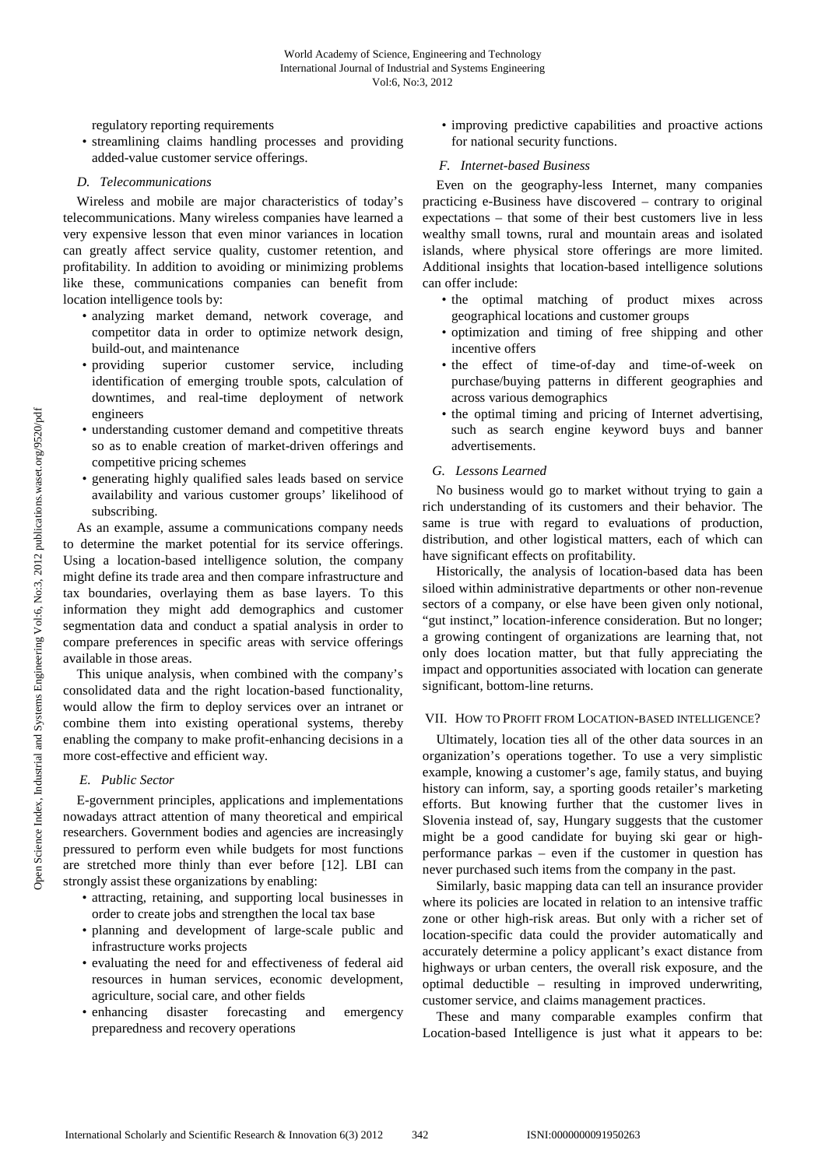regulatory reporting requirements

• streamlining claims handling processes and providing added-value customer service offerings.

# *D. Telecommunications*

Wireless and mobile are major characteristics of today's telecommunications. Many wireless companies have learned a very expensive lesson that even minor variances in location can greatly affect service quality, customer retention, and profitability. In addition to avoiding or minimizing problems like these, communications companies can benefit from location intelligence tools by:

- analyzing market demand, network coverage, and competitor data in order to optimize network design, build-out, and maintenance
- providing superior customer service, including identification of emerging trouble spots, calculation of downtimes, and real-time deployment of network engineers
- understanding customer demand and competitive threats so as to enable creation of market-driven offerings and competitive pricing schemes
- generating highly qualified sales leads based on service availability and various customer groups' likelihood of subscribing.

As an example, assume a communications company needs to determine the market potential for its service offerings. Using a location-based intelligence solution, the company might define its trade area and then compare infrastructure and tax boundaries, overlaying them as base layers. To this information they might add demographics and customer segmentation data and conduct a spatial analysis in order to compare preferences in specific areas with service offerings available in those areas.

This unique analysis, when combined with the company's consolidated data and the right location-based functionality, would allow the firm to deploy services over an intranet or combine them into existing operational systems, thereby enabling the company to make profit-enhancing decisions in a more cost-effective and efficient way.

# *E. Public Sector*

E-government principles, applications and implementations nowadays attract attention of many theoretical and empirical researchers. Government bodies and agencies are increasingly pressured to perform even while budgets for most functions are stretched more thinly than ever before [12]. LBI can strongly assist these organizations by enabling:

- attracting, retaining, and supporting local businesses in order to create jobs and strengthen the local tax base
- planning and development of large-scale public and infrastructure works projects
- evaluating the need for and effectiveness of federal aid resources in human services, economic development, agriculture, social care, and other fields
- enhancing disaster forecasting and emergency preparedness and recovery operations

• improving predictive capabilities and proactive actions for national security functions.

#### *F. Internet-based Business*

Even on the geography-less Internet, many companies practicing e-Business have discovered – contrary to original expectations – that some of their best customers live in less wealthy small towns, rural and mountain areas and isolated islands, where physical store offerings are more limited. Additional insights that location-based intelligence solutions can offer include:

- the optimal matching of product mixes across geographical locations and customer groups
- optimization and timing of free shipping and other incentive offers
- the effect of time-of-day and time-of-week on purchase/buying patterns in different geographies and across various demographics
- the optimal timing and pricing of Internet advertising, such as search engine keyword buys and banner advertisements.

# *G. Lessons Learned*

No business would go to market without trying to gain a rich understanding of its customers and their behavior. The same is true with regard to evaluations of production, distribution, and other logistical matters, each of which can have significant effects on profitability.

Historically, the analysis of location-based data has been siloed within administrative departments or other non-revenue sectors of a company, or else have been given only notional. "gut instinct," location-inference consideration. But no longer; a growing contingent of organizations are learning that, not only does location matter, but that fully appreciating the impact and opportunities associated with location can generate significant, bottom-line returns.

# VII. HOW TO PROFIT FROM LOCATION-BASED INTELLIGENCE?

Ultimately, location ties all of the other data sources in an organization's operations together. To use a very simplistic example, knowing a customer's age, family status, and buying history can inform, say, a sporting goods retailer's marketing efforts. But knowing further that the customer lives in Slovenia instead of, say, Hungary suggests that the customer might be a good candidate for buying ski gear or highperformance parkas – even if the customer in question has never purchased such items from the company in the past.

Similarly, basic mapping data can tell an insurance provider where its policies are located in relation to an intensive traffic zone or other high-risk areas. But only with a richer set of location-specific data could the provider automatically and accurately determine a policy applicant's exact distance from highways or urban centers, the overall risk exposure, and the optimal deductible – resulting in improved underwriting, customer service, and claims management practices.

These and many comparable examples confirm that Location-based Intelligence is just what it appears to be: